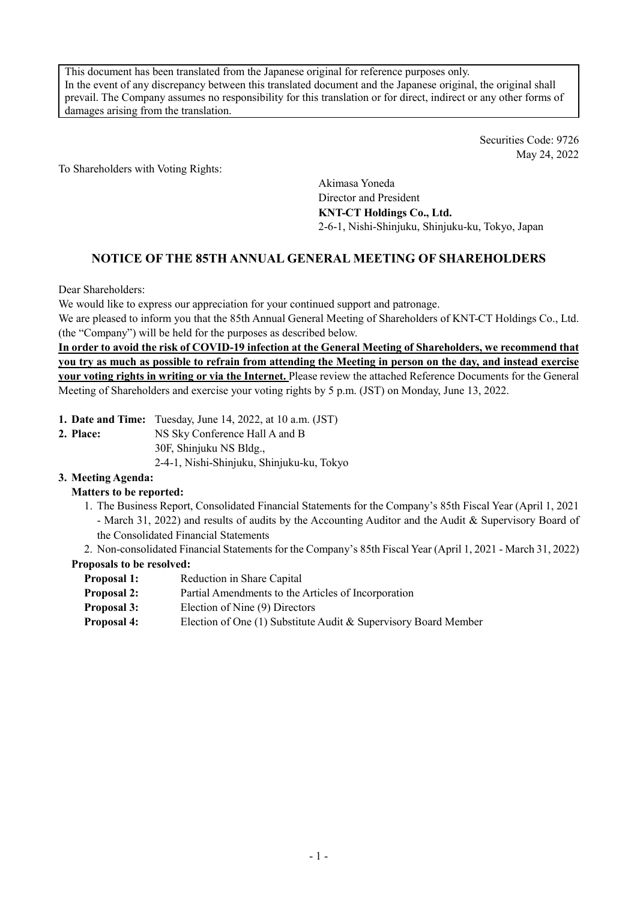This document has been translated from the Japanese original for reference purposes only. In the event of any discrepancy between this translated document and the Japanese original, the original shall prevail. The Company assumes no responsibility for this translation or for direct, indirect or any other forms of damages arising from the translation.

> Securities Code: 9726 May 24, 2022

To Shareholders with Voting Rights:

Akimasa Yoneda Director and President **KNT-CT Holdings Co., Ltd.**  2-6-1, Nishi-Shinjuku, Shinjuku-ku, Tokyo, Japan

# **NOTICE OF THE 85TH ANNUAL GENERAL MEETING OF SHAREHOLDERS**

Dear Shareholders:

We would like to express our appreciation for your continued support and patronage.

We are pleased to inform you that the 85th Annual General Meeting of Shareholders of KNT-CT Holdings Co., Ltd. (the "Company") will be held for the purposes as described below.

**In order to avoid the risk of COVID-19 infection at the General Meeting of Shareholders, we recommend that you try as much as possible to refrain from attending the Meeting in person on the day, and instead exercise your voting rights in writing or via the Internet.** Please review the attached Reference Documents for the General Meeting of Shareholders and exercise your voting rights by 5 p.m. (JST) on Monday, June 13, 2022.

- **1. Date and Time:** Tuesday, June 14, 2022, at 10 a.m. (JST)
- **2. Place:** NS Sky Conference Hall A and B 30F, Shinjuku NS Bldg., 2-4-1, Nishi-Shinjuku, Shinjuku-ku, Tokyo

# **3. Meeting Agenda:**

# **Matters to be reported:**

- 1. The Business Report, Consolidated Financial Statements for the Company's 85th Fiscal Year (April 1, 2021 - March 31, 2022) and results of audits by the Accounting Auditor and the Audit & Supervisory Board of the Consolidated Financial Statements
- 2. Non-consolidated Financial Statements for the Company's 85th Fiscal Year (April 1, 2021 March 31, 2022)

# **Proposals to be resolved:**

- **Proposal 1:** Reduction in Share Capital **Proposal 2:** Partial Amendments to the Articles of Incorporation **Proposal 3:** Election of Nine (9) Directors
- **Proposal 4:** Election of One (1) Substitute Audit & Supervisory Board Member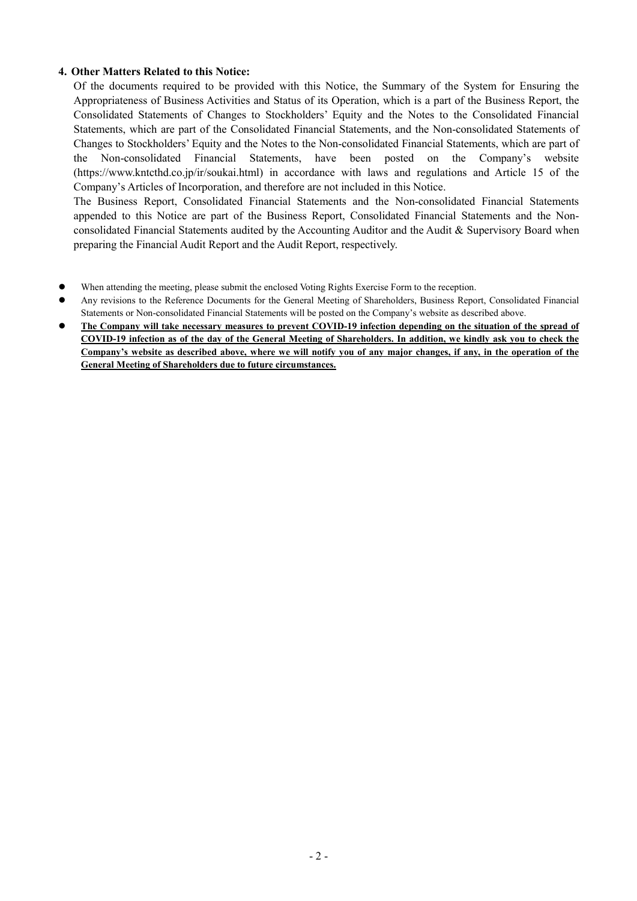### **4. Other Matters Related to this Notice:**

Of the documents required to be provided with this Notice, the Summary of the System for Ensuring the Appropriateness of Business Activities and Status of its Operation, which is a part of the Business Report, the Consolidated Statements of Changes to Stockholders' Equity and the Notes to the Consolidated Financial Statements, which are part of the Consolidated Financial Statements, and the Non-consolidated Statements of Changes to Stockholders' Equity and the Notes to the Non-consolidated Financial Statements, which are part of the Non-consolidated Financial Statements, have been posted on the Company's website (https://www.kntcthd.co.jp/ir/soukai.html) in accordance with laws and regulations and Article 15 of the Company's Articles of Incorporation, and therefore are not included in this Notice.

The Business Report, Consolidated Financial Statements and the Non-consolidated Financial Statements appended to this Notice are part of the Business Report, Consolidated Financial Statements and the Nonconsolidated Financial Statements audited by the Accounting Auditor and the Audit & Supervisory Board when preparing the Financial Audit Report and the Audit Report, respectively.

- When attending the meeting, please submit the enclosed Voting Rights Exercise Form to the reception.
- Any revisions to the Reference Documents for the General Meeting of Shareholders, Business Report, Consolidated Financial Statements or Non-consolidated Financial Statements will be posted on the Company's website as described above.
- **The Company will take necessary measures to prevent COVID-19 infection depending on the situation of the spread of COVID-19 infection as of the day of the General Meeting of Shareholders. In addition, we kindly ask you to check the Company's website as described above, where we will notify you of any major changes, if any, in the operation of the General Meeting of Shareholders due to future circumstances.**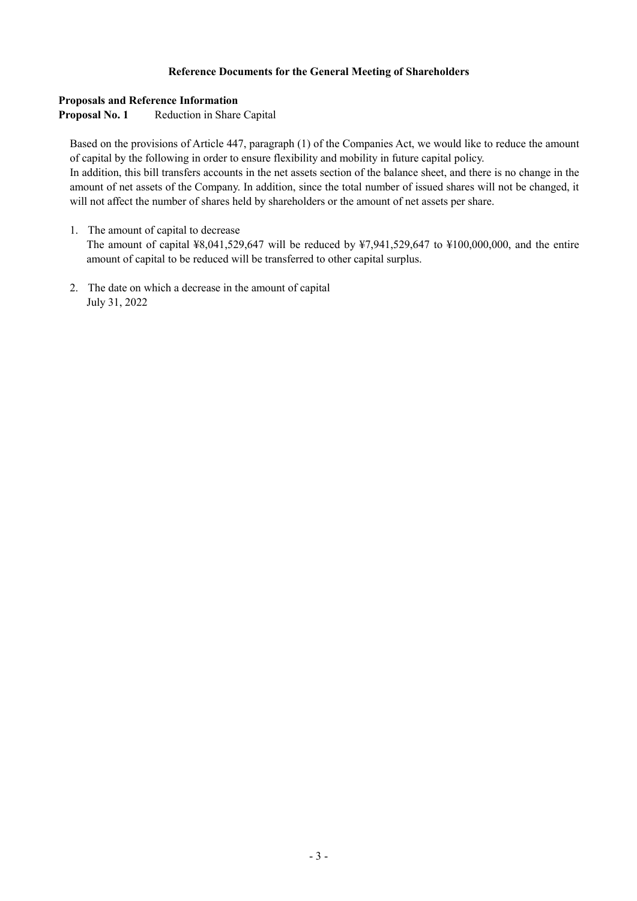## **Reference Documents for the General Meeting of Shareholders**

#### **Proposals and Reference Information**

**Proposal No. 1** Reduction in Share Capital

Based on the provisions of Article 447, paragraph (1) of the Companies Act, we would like to reduce the amount of capital by the following in order to ensure flexibility and mobility in future capital policy.

In addition, this bill transfers accounts in the net assets section of the balance sheet, and there is no change in the amount of net assets of the Company. In addition, since the total number of issued shares will not be changed, it will not affect the number of shares held by shareholders or the amount of net assets per share.

- 1. The amount of capital to decrease The amount of capital ¥8,041,529,647 will be reduced by ¥7,941,529,647 to ¥100,000,000, and the entire amount of capital to be reduced will be transferred to other capital surplus.
- 2. The date on which a decrease in the amount of capital July 31, 2022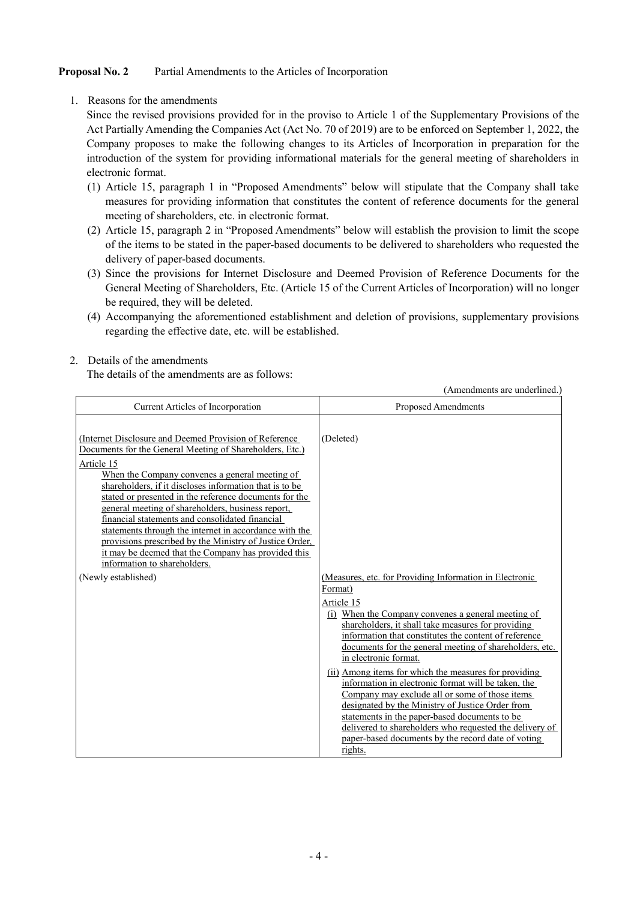### **Proposal No. 2** Partial Amendments to the Articles of Incorporation

1. Reasons for the amendments

Since the revised provisions provided for in the proviso to Article 1 of the Supplementary Provisions of the Act Partially Amending the Companies Act (Act No. 70 of 2019) are to be enforced on September 1, 2022, the Company proposes to make the following changes to its Articles of Incorporation in preparation for the introduction of the system for providing informational materials for the general meeting of shareholders in electronic format.

- (1) Article 15, paragraph 1 in "Proposed Amendments" below will stipulate that the Company shall take measures for providing information that constitutes the content of reference documents for the general meeting of shareholders, etc. in electronic format.
- (2) Article 15, paragraph 2 in "Proposed Amendments" below will establish the provision to limit the scope of the items to be stated in the paper-based documents to be delivered to shareholders who requested the delivery of paper-based documents.
- (3) Since the provisions for Internet Disclosure and Deemed Provision of Reference Documents for the General Meeting of Shareholders, Etc. (Article 15 of the Current Articles of Incorporation) will no longer be required, they will be deleted.
- (4) Accompanying the aforementioned establishment and deletion of provisions, supplementary provisions regarding the effective date, etc. will be established.

### 2. Details of the amendments

The details of the amendments are as follows:

(Amendments are underlined.)

| Current Articles of Incorporation                                                                                                                                                                                                                                                                                                                                                                                                                                                                                                                                                                                                                   | Proposed Amendments                                                                                                                                                                                                                                                                                                                                    |
|-----------------------------------------------------------------------------------------------------------------------------------------------------------------------------------------------------------------------------------------------------------------------------------------------------------------------------------------------------------------------------------------------------------------------------------------------------------------------------------------------------------------------------------------------------------------------------------------------------------------------------------------------------|--------------------------------------------------------------------------------------------------------------------------------------------------------------------------------------------------------------------------------------------------------------------------------------------------------------------------------------------------------|
| (Internet Disclosure and Deemed Provision of Reference)<br>Documents for the General Meeting of Shareholders, Etc.)<br>Article 15<br>When the Company convenes a general meeting of<br>shareholders, if it discloses information that is to be<br>stated or presented in the reference documents for the<br>general meeting of shareholders, business report,<br>financial statements and consolidated financial<br>statements through the internet in accordance with the<br>provisions prescribed by the Ministry of Justice Order,<br>it may be deemed that the Company has provided this<br>information to shareholders.<br>(Newly established) | (Deleted)<br>(Measures, etc. for Providing Information in Electronic<br>Format)<br>Article 15<br>(i) When the Company convenes a general meeting of<br>shareholders, it shall take measures for providing<br>information that constitutes the content of reference<br>documents for the general meeting of shareholders, etc.<br>in electronic format. |
|                                                                                                                                                                                                                                                                                                                                                                                                                                                                                                                                                                                                                                                     | (ii) Among items for which the measures for providing<br>information in electronic format will be taken, the<br>Company may exclude all or some of those items<br>designated by the Ministry of Justice Order from                                                                                                                                     |
|                                                                                                                                                                                                                                                                                                                                                                                                                                                                                                                                                                                                                                                     | statements in the paper-based documents to be<br>delivered to shareholders who requested the delivery of<br>paper-based documents by the record date of voting<br>rights.                                                                                                                                                                              |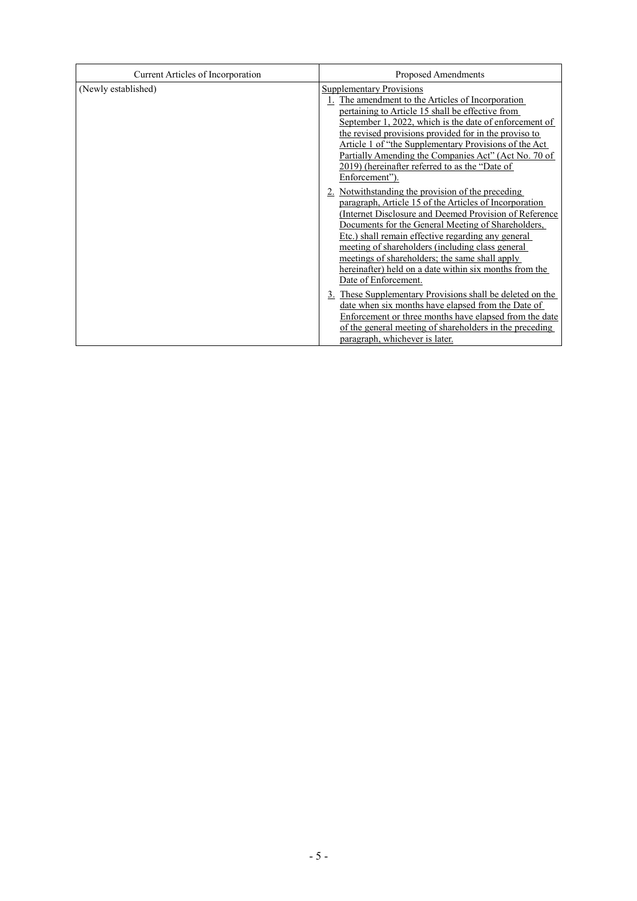| Current Articles of Incorporation | <b>Proposed Amendments</b>                                                                                                                                                                                                                                                                                                                                                                                                                                                                                                                                                                                                                                                                                                                                                                                                                                                                                                                                                                                                                                                                                                                                        |  |  |
|-----------------------------------|-------------------------------------------------------------------------------------------------------------------------------------------------------------------------------------------------------------------------------------------------------------------------------------------------------------------------------------------------------------------------------------------------------------------------------------------------------------------------------------------------------------------------------------------------------------------------------------------------------------------------------------------------------------------------------------------------------------------------------------------------------------------------------------------------------------------------------------------------------------------------------------------------------------------------------------------------------------------------------------------------------------------------------------------------------------------------------------------------------------------------------------------------------------------|--|--|
| (Newly established)               | <b>Supplementary Provisions</b><br>1. The amendment to the Articles of Incorporation<br>pertaining to Article 15 shall be effective from<br>September 1, 2022, which is the date of enforcement of<br>the revised provisions provided for in the proviso to<br>Article 1 of "the Supplementary Provisions of the Act<br>Partially Amending the Companies Act" (Act No. 70 of<br>2019) (hereinafter referred to as the "Date of<br>Enforcement").<br>2. Notwithstanding the provision of the preceding<br>paragraph, Article 15 of the Articles of Incorporation<br>Internet Disclosure and Deemed Provision of Reference<br>Documents for the General Meeting of Shareholders,<br>Etc.) shall remain effective regarding any general<br>meeting of shareholders (including class general<br>meetings of shareholders; the same shall apply<br>hereinafter) held on a date within six months from the<br>Date of Enforcement.<br>These Supplementary Provisions shall be deleted on the<br>date when six months have elapsed from the Date of<br>Enforcement or three months have elapsed from the date<br>of the general meeting of shareholders in the preceding |  |  |
|                                   | paragraph, whichever is later.                                                                                                                                                                                                                                                                                                                                                                                                                                                                                                                                                                                                                                                                                                                                                                                                                                                                                                                                                                                                                                                                                                                                    |  |  |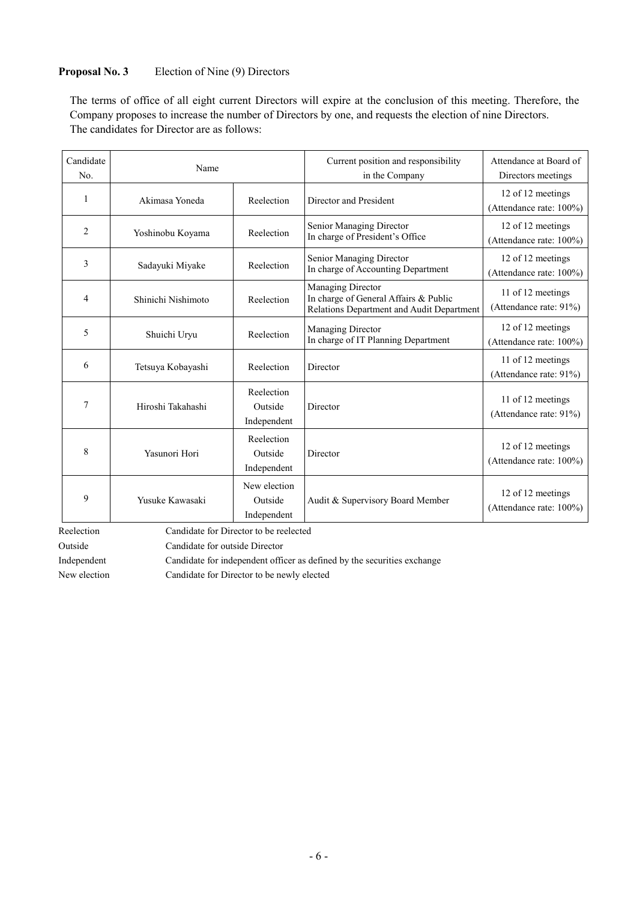# **Proposal No. 3** Election of Nine (9) Directors

The terms of office of all eight current Directors will expire at the conclusion of this meeting. Therefore, the Company proposes to increase the number of Directors by one, and requests the election of nine Directors. The candidates for Director are as follows:

| Candidate<br>No. | Name               |                                        | Current position and responsibility<br>in the Company                                                   | Attendance at Board of<br>Directors meetings     |
|------------------|--------------------|----------------------------------------|---------------------------------------------------------------------------------------------------------|--------------------------------------------------|
| 1                | Akimasa Yoneda     | Reelection                             | Director and President                                                                                  | 12 of 12 meetings<br>(Attendance rate: 100%)     |
| $\overline{2}$   | Yoshinobu Koyama   | Reelection                             | Senior Managing Director<br>In charge of President's Office                                             | 12 of 12 meetings<br>(Attendance rate: 100%)     |
| 3                | Sadayuki Miyake    | Reelection                             | Senior Managing Director<br>In charge of Accounting Department                                          | 12 of 12 meetings<br>(Attendance rate: 100%)     |
| 4                | Shinichi Nishimoto | Reelection                             | Managing Director<br>In charge of General Affairs & Public<br>Relations Department and Audit Department | 11 of 12 meetings<br>(Attendance rate: 91%)      |
| 5                | Shuichi Uryu       | Reelection                             | Managing Director<br>In charge of IT Planning Department                                                | 12 of 12 meetings<br>(Attendance rate: 100%)     |
| 6                | Tetsuya Kobayashi  | Reelection                             | Director                                                                                                | 11 of 12 meetings<br>(Attendance rate: 91%)      |
| 7                | Hiroshi Takahashi  | Reelection<br>Outside<br>Independent   | Director                                                                                                | 11 of 12 meetings<br>(Attendance rate: 91%)      |
| 8                | Yasunori Hori      | Reelection<br>Outside<br>Independent   | Director                                                                                                | 12 of 12 meetings<br>(Attendance rate: $100\%$ ) |
| 9                | Yusuke Kawasaki    | New election<br>Outside<br>Independent | Audit & Supervisory Board Member                                                                        | 12 of 12 meetings<br>(Attendance rate: 100%)     |

Reelection Candidate for Director to be reelected

Outside Candidate for outside Director

Independent Candidate for independent officer as defined by the securities exchange

New election Candidate for Director to be newly elected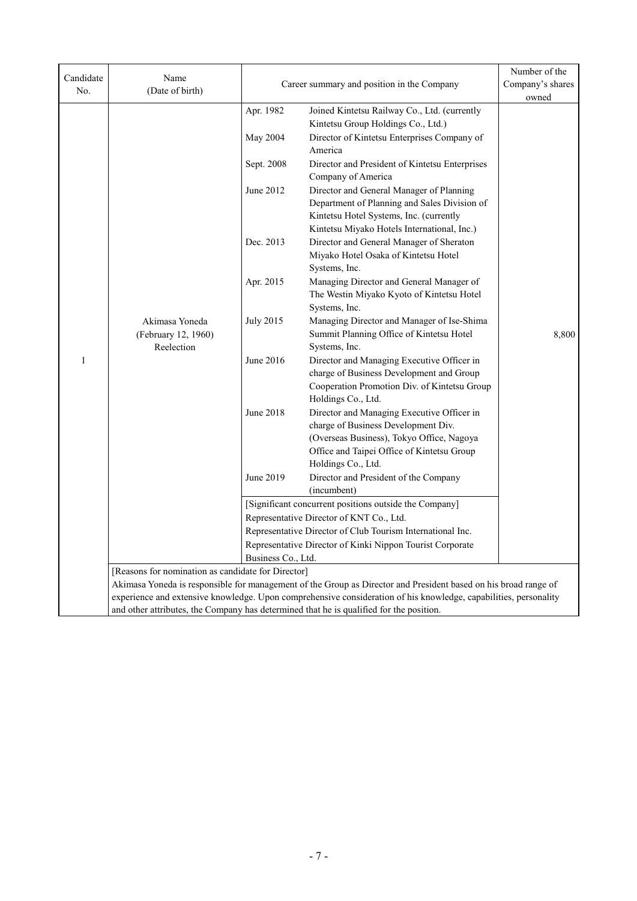| Candidate    | Name                                                                                                            |                    |                                                                                                                                                                              | Number of the    |  |  |
|--------------|-----------------------------------------------------------------------------------------------------------------|--------------------|------------------------------------------------------------------------------------------------------------------------------------------------------------------------------|------------------|--|--|
| No.          | (Date of birth)                                                                                                 |                    | Career summary and position in the Company                                                                                                                                   | Company's shares |  |  |
|              |                                                                                                                 |                    |                                                                                                                                                                              | owned            |  |  |
|              |                                                                                                                 | Apr. 1982          | Joined Kintetsu Railway Co., Ltd. (currently                                                                                                                                 |                  |  |  |
|              |                                                                                                                 |                    | Kintetsu Group Holdings Co., Ltd.)                                                                                                                                           |                  |  |  |
|              |                                                                                                                 | May 2004           | Director of Kintetsu Enterprises Company of<br>America                                                                                                                       |                  |  |  |
|              |                                                                                                                 | Sept. 2008         | Director and President of Kintetsu Enterprises<br>Company of America                                                                                                         |                  |  |  |
|              |                                                                                                                 | June 2012          | Director and General Manager of Planning<br>Department of Planning and Sales Division of<br>Kintetsu Hotel Systems, Inc. (currently                                          |                  |  |  |
|              |                                                                                                                 | Dec. 2013          | Kintetsu Miyako Hotels International, Inc.)<br>Director and General Manager of Sheraton<br>Miyako Hotel Osaka of Kintetsu Hotel                                              |                  |  |  |
|              |                                                                                                                 | Apr. 2015          | Systems, Inc.<br>Managing Director and General Manager of<br>The Westin Miyako Kyoto of Kintetsu Hotel<br>Systems, Inc.                                                      |                  |  |  |
|              | Akimasa Yoneda<br>(February 12, 1960)                                                                           | July 2015          | Managing Director and Manager of Ise-Shima<br>Summit Planning Office of Kintetsu Hotel                                                                                       | 8,800            |  |  |
|              | Reelection                                                                                                      |                    | Systems, Inc.                                                                                                                                                                |                  |  |  |
| $\mathbf{1}$ |                                                                                                                 | June 2016          | Director and Managing Executive Officer in                                                                                                                                   |                  |  |  |
|              |                                                                                                                 |                    | charge of Business Development and Group<br>Cooperation Promotion Div. of Kintetsu Group<br>Holdings Co., Ltd.                                                               |                  |  |  |
|              |                                                                                                                 | June 2018          | Director and Managing Executive Officer in<br>charge of Business Development Div.<br>(Overseas Business), Tokyo Office, Nagoya<br>Office and Taipei Office of Kintetsu Group |                  |  |  |
|              |                                                                                                                 |                    | Holdings Co., Ltd.                                                                                                                                                           |                  |  |  |
|              |                                                                                                                 | June 2019          | Director and President of the Company                                                                                                                                        |                  |  |  |
|              |                                                                                                                 |                    | (incumbent)                                                                                                                                                                  |                  |  |  |
|              |                                                                                                                 |                    | [Significant concurrent positions outside the Company]                                                                                                                       |                  |  |  |
|              |                                                                                                                 |                    | Representative Director of KNT Co., Ltd.                                                                                                                                     |                  |  |  |
|              |                                                                                                                 |                    | Representative Director of Club Tourism International Inc.                                                                                                                   |                  |  |  |
|              |                                                                                                                 |                    | Representative Director of Kinki Nippon Tourist Corporate                                                                                                                    |                  |  |  |
|              |                                                                                                                 | Business Co., Ltd. |                                                                                                                                                                              |                  |  |  |
|              | [Reasons for nomination as candidate for Director]                                                              |                    |                                                                                                                                                                              |                  |  |  |
|              | Akimasa Yoneda is responsible for management of the Group as Director and President based on his broad range of |                    |                                                                                                                                                                              |                  |  |  |
|              |                                                                                                                 |                    | experience and extensive knowledge. Upon comprehensive consideration of his knowledge, capabilities, personality                                                             |                  |  |  |
|              | and other attributes, the Company has determined that he is qualified for the position.                         |                    |                                                                                                                                                                              |                  |  |  |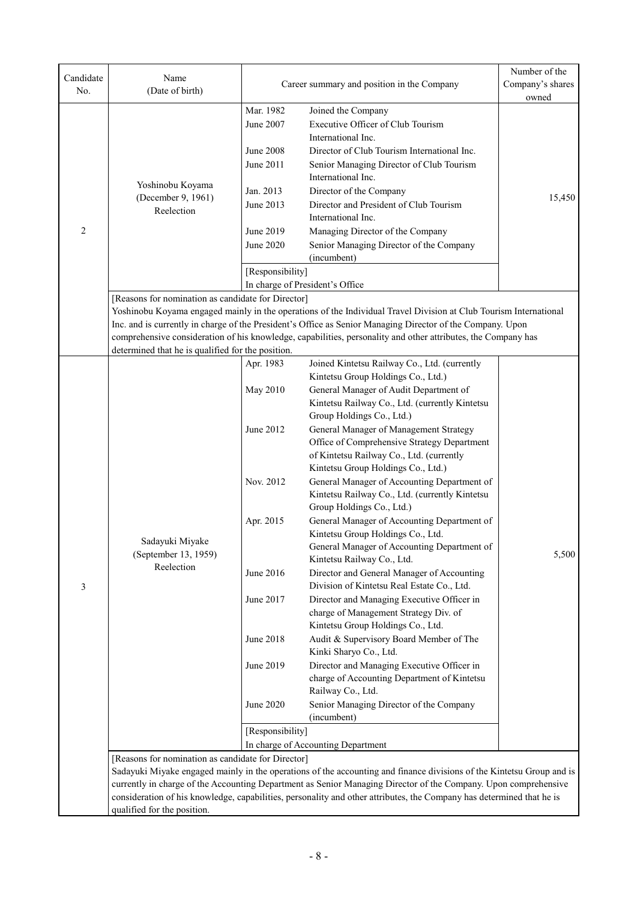| Candidate<br>No. | Name<br>(Date of birth)                            |                                     | Career summary and position in the Company                                                                                   | Number of the<br>Company's shares<br>owned |
|------------------|----------------------------------------------------|-------------------------------------|------------------------------------------------------------------------------------------------------------------------------|--------------------------------------------|
|                  |                                                    | Mar. 1982<br>June 2007<br>June 2008 | Joined the Company<br>Executive Officer of Club Tourism<br>International Inc.<br>Director of Club Tourism International Inc. |                                            |
|                  | Yoshinobu Koyama                                   | June 2011                           | Senior Managing Director of Club Tourism<br>International Inc.                                                               |                                            |
|                  | (December 9, 1961)                                 | Jan. 2013                           | Director of the Company                                                                                                      | 15,450                                     |
|                  | Reelection                                         | June 2013                           | Director and President of Club Tourism<br>International Inc.                                                                 |                                            |
| 2                |                                                    | June 2019                           | Managing Director of the Company                                                                                             |                                            |
|                  |                                                    | June 2020                           | Senior Managing Director of the Company                                                                                      |                                            |
|                  |                                                    | [Responsibility]                    | (incumbent)                                                                                                                  |                                            |
|                  |                                                    |                                     | In charge of President's Office                                                                                              |                                            |
|                  | [Reasons for nomination as candidate for Director] |                                     |                                                                                                                              |                                            |
|                  |                                                    |                                     | Yoshinobu Koyama engaged mainly in the operations of the Individual Travel Division at Club Tourism International            |                                            |
|                  |                                                    |                                     | Inc. and is currently in charge of the President's Office as Senior Managing Director of the Company. Upon                   |                                            |
|                  | determined that he is qualified for the position.  |                                     | comprehensive consideration of his knowledge, capabilities, personality and other attributes, the Company has                |                                            |
|                  |                                                    | Apr. 1983                           | Joined Kintetsu Railway Co., Ltd. (currently                                                                                 |                                            |
|                  |                                                    |                                     | Kintetsu Group Holdings Co., Ltd.)                                                                                           |                                            |
|                  |                                                    | May 2010                            | General Manager of Audit Department of                                                                                       |                                            |
|                  |                                                    |                                     | Kintetsu Railway Co., Ltd. (currently Kintetsu                                                                               |                                            |
|                  |                                                    |                                     | Group Holdings Co., Ltd.)                                                                                                    |                                            |
|                  |                                                    | June 2012                           | General Manager of Management Strategy<br>Office of Comprehensive Strategy Department                                        |                                            |
|                  |                                                    |                                     | of Kintetsu Railway Co., Ltd. (currently                                                                                     |                                            |
|                  |                                                    |                                     | Kintetsu Group Holdings Co., Ltd.)                                                                                           |                                            |
|                  |                                                    | Nov. 2012                           | General Manager of Accounting Department of                                                                                  |                                            |
|                  |                                                    |                                     | Kintetsu Railway Co., Ltd. (currently Kintetsu                                                                               |                                            |
|                  |                                                    | Apr. 2015                           | Group Holdings Co., Ltd.)<br>General Manager of Accounting Department of                                                     |                                            |
|                  |                                                    |                                     | Kintetsu Group Holdings Co., Ltd.                                                                                            |                                            |
|                  | Sadayuki Miyake                                    |                                     | General Manager of Accounting Department of                                                                                  |                                            |
|                  | (September 13, 1959)<br>Reelection                 |                                     | Kintetsu Railway Co., Ltd.                                                                                                   | 5,500                                      |
| 3                |                                                    | June 2016                           | Director and General Manager of Accounting<br>Division of Kintetsu Real Estate Co., Ltd.                                     |                                            |
|                  |                                                    | June 2017                           | Director and Managing Executive Officer in                                                                                   |                                            |
|                  |                                                    |                                     | charge of Management Strategy Div. of                                                                                        |                                            |
|                  |                                                    | <b>June 2018</b>                    | Kintetsu Group Holdings Co., Ltd.<br>Audit & Supervisory Board Member of The                                                 |                                            |
|                  |                                                    |                                     | Kinki Sharyo Co., Ltd.                                                                                                       |                                            |
|                  |                                                    | June 2019                           | Director and Managing Executive Officer in                                                                                   |                                            |
|                  |                                                    |                                     | charge of Accounting Department of Kintetsu                                                                                  |                                            |
|                  |                                                    |                                     | Railway Co., Ltd.                                                                                                            |                                            |
|                  |                                                    | June 2020                           | Senior Managing Director of the Company<br>(incumbent)                                                                       |                                            |
|                  |                                                    | [Responsibility]                    |                                                                                                                              |                                            |
|                  |                                                    |                                     | In charge of Accounting Department                                                                                           |                                            |
|                  | [Reasons for nomination as candidate for Director] |                                     |                                                                                                                              |                                            |
|                  |                                                    |                                     | Sadayuki Miyake engaged mainly in the operations of the accounting and finance divisions of the Kintetsu Group and is        |                                            |
|                  |                                                    |                                     | currently in charge of the Accounting Department as Senior Managing Director of the Company. Upon comprehensive              |                                            |
|                  | qualified for the position.                        |                                     | consideration of his knowledge, capabilities, personality and other attributes, the Company has determined that he is        |                                            |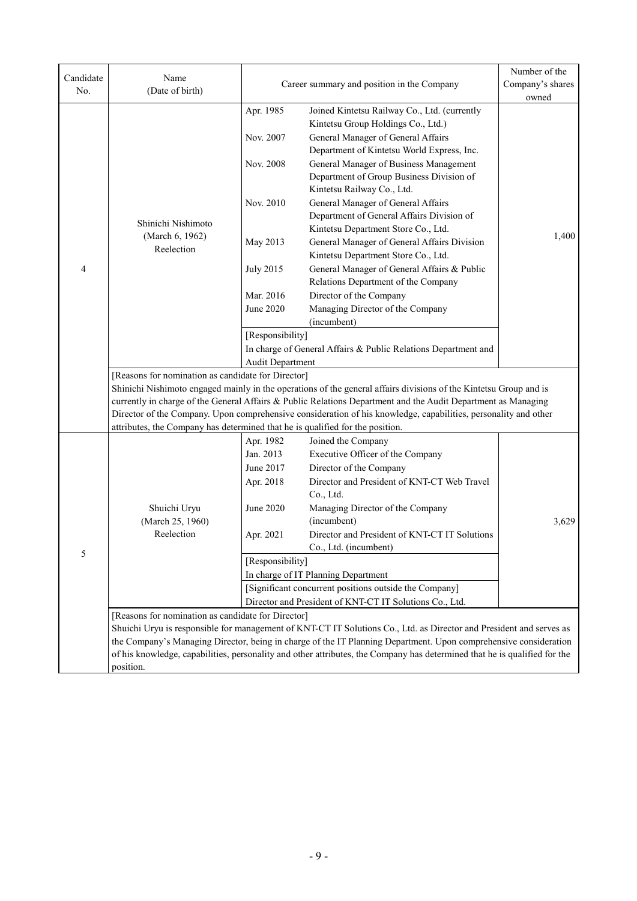| Candidate | Name                                                                                                              |                         |                                                                                                                           | Number of the    |  |  |  |
|-----------|-------------------------------------------------------------------------------------------------------------------|-------------------------|---------------------------------------------------------------------------------------------------------------------------|------------------|--|--|--|
| No.       | (Date of birth)                                                                                                   |                         | Career summary and position in the Company                                                                                | Company's shares |  |  |  |
|           |                                                                                                                   |                         |                                                                                                                           | owned            |  |  |  |
|           |                                                                                                                   | Apr. 1985               | Joined Kintetsu Railway Co., Ltd. (currently                                                                              |                  |  |  |  |
|           |                                                                                                                   |                         | Kintetsu Group Holdings Co., Ltd.)                                                                                        |                  |  |  |  |
|           |                                                                                                                   | Nov. 2007               | General Manager of General Affairs                                                                                        |                  |  |  |  |
|           |                                                                                                                   |                         | Department of Kintetsu World Express, Inc.                                                                                |                  |  |  |  |
|           |                                                                                                                   | Nov. 2008               | General Manager of Business Management                                                                                    |                  |  |  |  |
|           |                                                                                                                   |                         | Department of Group Business Division of                                                                                  |                  |  |  |  |
|           |                                                                                                                   |                         | Kintetsu Railway Co., Ltd.                                                                                                |                  |  |  |  |
|           |                                                                                                                   | Nov. 2010               | General Manager of General Affairs<br>Department of General Affairs Division of                                           |                  |  |  |  |
|           | Shinichi Nishimoto                                                                                                |                         | Kintetsu Department Store Co., Ltd.                                                                                       |                  |  |  |  |
|           | (March 6, 1962)                                                                                                   | May 2013                | General Manager of General Affairs Division                                                                               | 1,400            |  |  |  |
|           | Reelection                                                                                                        |                         | Kintetsu Department Store Co., Ltd.                                                                                       |                  |  |  |  |
| 4         |                                                                                                                   | <b>July 2015</b>        | General Manager of General Affairs & Public                                                                               |                  |  |  |  |
|           |                                                                                                                   |                         | Relations Department of the Company                                                                                       |                  |  |  |  |
|           |                                                                                                                   | Mar. 2016               | Director of the Company                                                                                                   |                  |  |  |  |
|           |                                                                                                                   | June 2020               | Managing Director of the Company                                                                                          |                  |  |  |  |
|           |                                                                                                                   |                         | (incumbent)                                                                                                               |                  |  |  |  |
|           |                                                                                                                   | [Responsibility]        |                                                                                                                           |                  |  |  |  |
|           |                                                                                                                   |                         | In charge of General Affairs & Public Relations Department and                                                            |                  |  |  |  |
|           |                                                                                                                   | <b>Audit Department</b> |                                                                                                                           |                  |  |  |  |
|           | [Reasons for nomination as candidate for Director]                                                                |                         |                                                                                                                           |                  |  |  |  |
|           | Shinichi Nishimoto engaged mainly in the operations of the general affairs divisions of the Kintetsu Group and is |                         |                                                                                                                           |                  |  |  |  |
|           | currently in charge of the General Affairs & Public Relations Department and the Audit Department as Managing     |                         |                                                                                                                           |                  |  |  |  |
|           | attributes, the Company has determined that he is qualified for the position.                                     |                         | Director of the Company. Upon comprehensive consideration of his knowledge, capabilities, personality and other           |                  |  |  |  |
|           |                                                                                                                   | Apr. 1982               | Joined the Company                                                                                                        |                  |  |  |  |
|           |                                                                                                                   | Jan. 2013               | Executive Officer of the Company                                                                                          |                  |  |  |  |
|           |                                                                                                                   | June 2017               | Director of the Company                                                                                                   |                  |  |  |  |
|           |                                                                                                                   | Apr. 2018               | Director and President of KNT-CT Web Travel                                                                               |                  |  |  |  |
|           |                                                                                                                   |                         | Co., Ltd.                                                                                                                 |                  |  |  |  |
|           | Shuichi Uryu                                                                                                      | June 2020               | Managing Director of the Company                                                                                          |                  |  |  |  |
|           | (March 25, 1960)                                                                                                  |                         | (incumbent)                                                                                                               | 3,629            |  |  |  |
|           | Reelection                                                                                                        | Apr. 2021               | Director and President of KNT-CT IT Solutions                                                                             |                  |  |  |  |
|           |                                                                                                                   |                         | Co., Ltd. (incumbent)                                                                                                     |                  |  |  |  |
| 5         |                                                                                                                   | [Responsibility]        |                                                                                                                           |                  |  |  |  |
|           |                                                                                                                   |                         | In charge of IT Planning Department                                                                                       |                  |  |  |  |
|           |                                                                                                                   |                         | [Significant concurrent positions outside the Company]                                                                    |                  |  |  |  |
|           |                                                                                                                   |                         | Director and President of KNT-CT IT Solutions Co., Ltd.                                                                   |                  |  |  |  |
|           | [Reasons for nomination as candidate for Director]                                                                |                         |                                                                                                                           |                  |  |  |  |
|           |                                                                                                                   |                         | Shuichi Uryu is responsible for management of KNT-CT IT Solutions Co., Ltd. as Director and President and serves as       |                  |  |  |  |
|           |                                                                                                                   |                         | the Company's Managing Director, being in charge of the IT Planning Department. Upon comprehensive consideration          |                  |  |  |  |
|           |                                                                                                                   |                         | of his knowledge, capabilities, personality and other attributes, the Company has determined that he is qualified for the |                  |  |  |  |
|           | position.                                                                                                         |                         |                                                                                                                           |                  |  |  |  |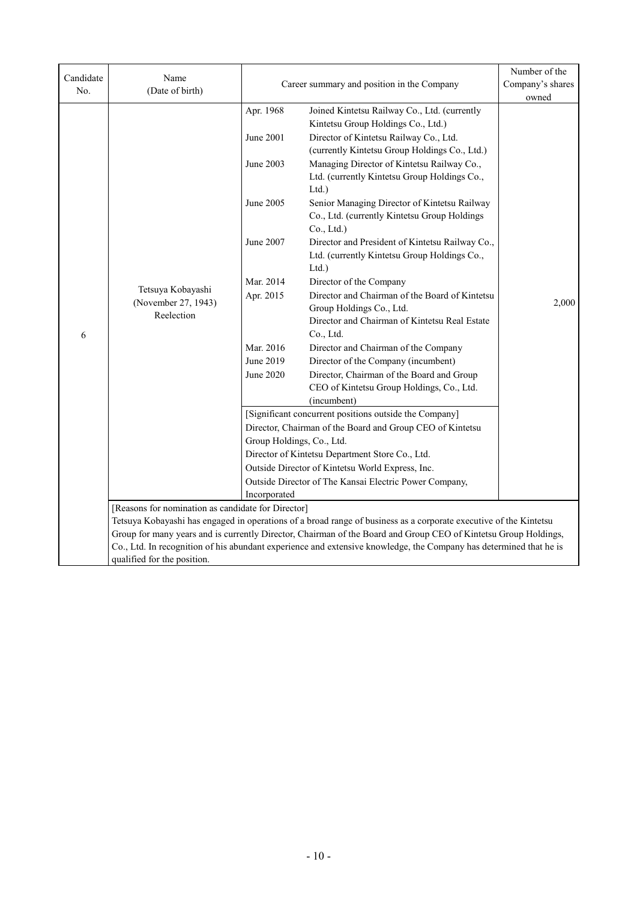| Candidate<br>No. | Name<br>(Date of birth)                                                                                                                                                                                                                                                                                                                                                                                                                         |                                                                                                                                                                                                                                                                                                                                   | Career summary and position in the Company                                                                                                                                                                                                                                                                                                                                                                                                                                                                                                                                                                                                                                                                                                                                                                                                                                    | Number of the<br>Company's shares<br>owned |  |
|------------------|-------------------------------------------------------------------------------------------------------------------------------------------------------------------------------------------------------------------------------------------------------------------------------------------------------------------------------------------------------------------------------------------------------------------------------------------------|-----------------------------------------------------------------------------------------------------------------------------------------------------------------------------------------------------------------------------------------------------------------------------------------------------------------------------------|-------------------------------------------------------------------------------------------------------------------------------------------------------------------------------------------------------------------------------------------------------------------------------------------------------------------------------------------------------------------------------------------------------------------------------------------------------------------------------------------------------------------------------------------------------------------------------------------------------------------------------------------------------------------------------------------------------------------------------------------------------------------------------------------------------------------------------------------------------------------------------|--------------------------------------------|--|
| 6                | Tetsuya Kobayashi<br>(November 27, 1943)<br>Reelection                                                                                                                                                                                                                                                                                                                                                                                          | Apr. 1968<br>June 2001<br>June 2003<br>June 2005<br>June 2007<br>Mar. 2014<br>Apr. 2015<br>Mar. 2016<br>June 2019<br>June 2020                                                                                                                                                                                                    | Joined Kintetsu Railway Co., Ltd. (currently<br>Kintetsu Group Holdings Co., Ltd.)<br>Director of Kintetsu Railway Co., Ltd.<br>(currently Kintetsu Group Holdings Co., Ltd.)<br>Managing Director of Kintetsu Railway Co.,<br>Ltd. (currently Kintetsu Group Holdings Co.,<br>Ltd.)<br>Senior Managing Director of Kintetsu Railway<br>Co., Ltd. (currently Kintetsu Group Holdings<br>Co., Ltd.)<br>Director and President of Kintetsu Railway Co.,<br>Ltd. (currently Kintetsu Group Holdings Co.,<br>Ltd.)<br>Director of the Company<br>Director and Chairman of the Board of Kintetsu<br>Group Holdings Co., Ltd.<br>Director and Chairman of Kintetsu Real Estate<br>Co., Ltd.<br>Director and Chairman of the Company<br>Director of the Company (incumbent)<br>Director, Chairman of the Board and Group<br>CEO of Kintetsu Group Holdings, Co., Ltd.<br>(incumbent) | 2,000                                      |  |
|                  |                                                                                                                                                                                                                                                                                                                                                                                                                                                 | [Significant concurrent positions outside the Company]<br>Director, Chairman of the Board and Group CEO of Kintetsu<br>Group Holdings, Co., Ltd.<br>Director of Kintetsu Department Store Co., Ltd.<br>Outside Director of Kintetsu World Express, Inc.<br>Outside Director of The Kansai Electric Power Company,<br>Incorporated |                                                                                                                                                                                                                                                                                                                                                                                                                                                                                                                                                                                                                                                                                                                                                                                                                                                                               |                                            |  |
|                  | [Reasons for nomination as candidate for Director]<br>Tetsuya Kobayashi has engaged in operations of a broad range of business as a corporate executive of the Kintetsu<br>Group for many years and is currently Director, Chairman of the Board and Group CEO of Kintetsu Group Holdings,<br>Co., Ltd. In recognition of his abundant experience and extensive knowledge, the Company has determined that he is<br>qualified for the position. |                                                                                                                                                                                                                                                                                                                                   |                                                                                                                                                                                                                                                                                                                                                                                                                                                                                                                                                                                                                                                                                                                                                                                                                                                                               |                                            |  |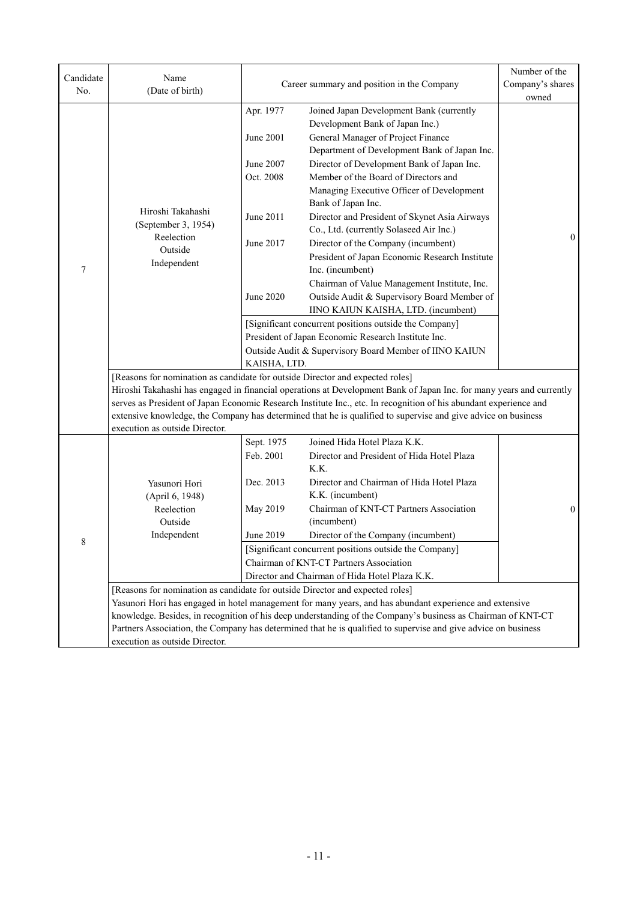| Candidate                                                                     | Name                                                                                                                                                                                        |                                                                                                |                                                                                                                                                                                                                                                                                                                                                                                                                                                                                                                                                                                                                                                                                                                                                                                            | Number of the    |
|-------------------------------------------------------------------------------|---------------------------------------------------------------------------------------------------------------------------------------------------------------------------------------------|------------------------------------------------------------------------------------------------|--------------------------------------------------------------------------------------------------------------------------------------------------------------------------------------------------------------------------------------------------------------------------------------------------------------------------------------------------------------------------------------------------------------------------------------------------------------------------------------------------------------------------------------------------------------------------------------------------------------------------------------------------------------------------------------------------------------------------------------------------------------------------------------------|------------------|
| No.                                                                           | (Date of birth)                                                                                                                                                                             |                                                                                                | Career summary and position in the Company                                                                                                                                                                                                                                                                                                                                                                                                                                                                                                                                                                                                                                                                                                                                                 | Company's shares |
|                                                                               |                                                                                                                                                                                             |                                                                                                |                                                                                                                                                                                                                                                                                                                                                                                                                                                                                                                                                                                                                                                                                                                                                                                            | owned            |
| 7                                                                             | Hiroshi Takahashi<br>(September 3, 1954)<br>Reelection<br>Outside<br>Independent                                                                                                            | Apr. 1977<br><b>June 2001</b><br>June 2007<br>Oct. 2008<br>June 2011<br>June 2017<br>June 2020 | Joined Japan Development Bank (currently<br>Development Bank of Japan Inc.)<br>General Manager of Project Finance<br>Department of Development Bank of Japan Inc.<br>Director of Development Bank of Japan Inc.<br>Member of the Board of Directors and<br>Managing Executive Officer of Development<br>Bank of Japan Inc.<br>Director and President of Skynet Asia Airways<br>Co., Ltd. (currently Solaseed Air Inc.)<br>Director of the Company (incumbent)<br>President of Japan Economic Research Institute<br>Inc. (incumbent)<br>Chairman of Value Management Institute, Inc.<br>Outside Audit & Supervisory Board Member of<br>IINO KAIUN KAISHA, LTD. (incumbent)<br>[Significant concurrent positions outside the Company]<br>President of Japan Economic Research Institute Inc. |                  |
| [Reasons for nomination as candidate for outside Director and expected roles] |                                                                                                                                                                                             | KAISHA, LTD.                                                                                   | Outside Audit & Supervisory Board Member of IINO KAIUN<br>Hiroshi Takahashi has engaged in financial operations at Development Bank of Japan Inc. for many years and currently<br>serves as President of Japan Economic Research Institute Inc., etc. In recognition of his abundant experience and<br>extensive knowledge, the Company has determined that he is qualified to supervise and give advice on business                                                                                                                                                                                                                                                                                                                                                                       |                  |
| 8                                                                             | execution as outside Director.<br>Yasunori Hori<br>(April 6, 1948)<br>Reelection<br>Outside<br>Independent<br>[Reasons for nomination as candidate for outside Director and expected roles] | Sept. 1975<br>Feb. 2001<br>Dec. 2013<br>May 2019<br>June 2019                                  | Joined Hida Hotel Plaza K.K.<br>Director and President of Hida Hotel Plaza<br>K.K.<br>Director and Chairman of Hida Hotel Plaza<br>K.K. (incumbent)<br>Chairman of KNT-CT Partners Association<br>(incumbent)<br>Director of the Company (incumbent)<br>[Significant concurrent positions outside the Company]<br>Chairman of KNT-CT Partners Association<br>Director and Chairman of Hida Hotel Plaza K.K.<br>Yasunori Hori has engaged in hotel management for many years, and has abundant experience and extensive                                                                                                                                                                                                                                                                     | $\overline{0}$   |
|                                                                               | execution as outside Director.                                                                                                                                                              |                                                                                                | knowledge. Besides, in recognition of his deep understanding of the Company's business as Chairman of KNT-CT<br>Partners Association, the Company has determined that he is qualified to supervise and give advice on business                                                                                                                                                                                                                                                                                                                                                                                                                                                                                                                                                             |                  |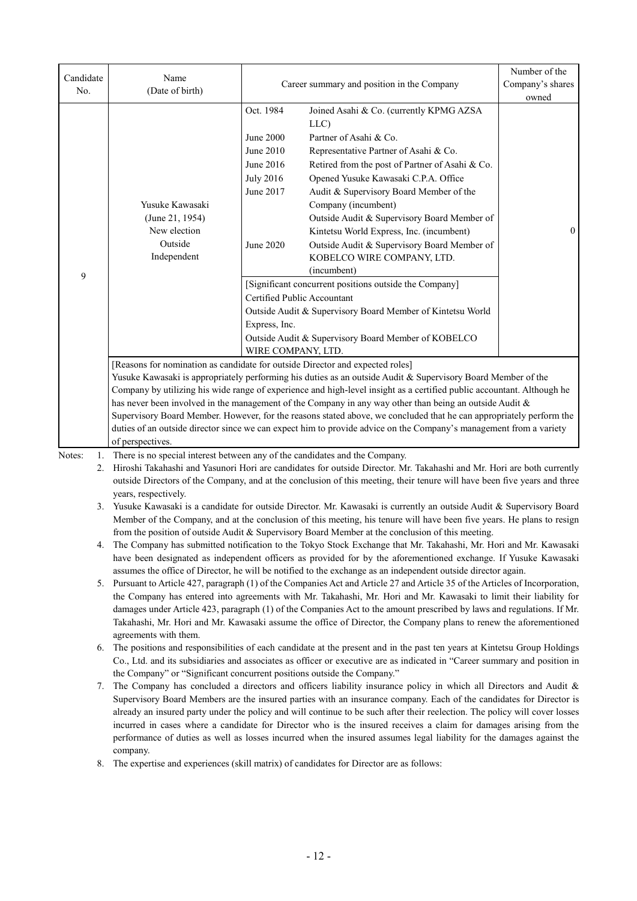| Candidate                                                                                                                   | Name                                                                          |                                                                                                                           |                                                                                                                                | Number of the    |  |  |
|-----------------------------------------------------------------------------------------------------------------------------|-------------------------------------------------------------------------------|---------------------------------------------------------------------------------------------------------------------------|--------------------------------------------------------------------------------------------------------------------------------|------------------|--|--|
| No.                                                                                                                         | (Date of birth)                                                               | Career summary and position in the Company                                                                                |                                                                                                                                | Company's shares |  |  |
|                                                                                                                             |                                                                               |                                                                                                                           |                                                                                                                                | owned            |  |  |
|                                                                                                                             |                                                                               | Oct. 1984                                                                                                                 | Joined Asahi & Co. (currently KPMG AZSA                                                                                        |                  |  |  |
|                                                                                                                             |                                                                               |                                                                                                                           | LLC)                                                                                                                           |                  |  |  |
|                                                                                                                             |                                                                               | June 2000                                                                                                                 | Partner of Asahi & Co.                                                                                                         |                  |  |  |
|                                                                                                                             |                                                                               | June 2010                                                                                                                 | Representative Partner of Asahi & Co.                                                                                          |                  |  |  |
|                                                                                                                             |                                                                               | June 2016                                                                                                                 | Retired from the post of Partner of Asahi & Co.                                                                                |                  |  |  |
|                                                                                                                             |                                                                               | <b>July 2016</b>                                                                                                          | Opened Yusuke Kawasaki C.P.A. Office                                                                                           |                  |  |  |
|                                                                                                                             |                                                                               | June 2017                                                                                                                 | Audit & Supervisory Board Member of the                                                                                        |                  |  |  |
|                                                                                                                             | Yusuke Kawasaki                                                               |                                                                                                                           | Company (incumbent)                                                                                                            |                  |  |  |
|                                                                                                                             | (June 21, 1954)                                                               |                                                                                                                           | Outside Audit & Supervisory Board Member of                                                                                    |                  |  |  |
|                                                                                                                             | New election                                                                  |                                                                                                                           | Kintetsu World Express, Inc. (incumbent)                                                                                       | $\overline{0}$   |  |  |
|                                                                                                                             | Outside                                                                       | June 2020                                                                                                                 | Outside Audit & Supervisory Board Member of                                                                                    |                  |  |  |
|                                                                                                                             | Independent                                                                   |                                                                                                                           | KOBELCO WIRE COMPANY, LTD.                                                                                                     |                  |  |  |
| 9                                                                                                                           |                                                                               |                                                                                                                           | (incumbent)                                                                                                                    |                  |  |  |
|                                                                                                                             |                                                                               |                                                                                                                           | [Significant concurrent positions outside the Company]                                                                         |                  |  |  |
|                                                                                                                             |                                                                               |                                                                                                                           | Certified Public Accountant                                                                                                    |                  |  |  |
|                                                                                                                             |                                                                               |                                                                                                                           | Outside Audit & Supervisory Board Member of Kintetsu World                                                                     |                  |  |  |
|                                                                                                                             |                                                                               | Express, Inc.                                                                                                             |                                                                                                                                |                  |  |  |
|                                                                                                                             |                                                                               | Outside Audit & Supervisory Board Member of KOBELCO                                                                       |                                                                                                                                |                  |  |  |
|                                                                                                                             |                                                                               | WIRE COMPANY, LTD.                                                                                                        |                                                                                                                                |                  |  |  |
|                                                                                                                             | [Reasons for nomination as candidate for outside Director and expected roles] |                                                                                                                           |                                                                                                                                |                  |  |  |
|                                                                                                                             |                                                                               |                                                                                                                           | Yusuke Kawasaki is appropriately performing his duties as an outside Audit & Supervisory Board Member of the                   |                  |  |  |
|                                                                                                                             |                                                                               | Company by utilizing his wide range of experience and high-level insight as a certified public accountant. Although he    |                                                                                                                                |                  |  |  |
|                                                                                                                             |                                                                               |                                                                                                                           | has never been involved in the management of the Company in any way other than being an outside Audit &                        |                  |  |  |
|                                                                                                                             |                                                                               |                                                                                                                           | Supervisory Board Member. However, for the reasons stated above, we concluded that he can appropriately perform the            |                  |  |  |
|                                                                                                                             |                                                                               |                                                                                                                           | duties of an outside director since we can expect him to provide advice on the Company's management from a variety             |                  |  |  |
|                                                                                                                             | of perspectives.                                                              |                                                                                                                           |                                                                                                                                |                  |  |  |
| Notes:<br>1.                                                                                                                | There is no special interest between any of the candidates and the Company.   |                                                                                                                           |                                                                                                                                |                  |  |  |
| 2.                                                                                                                          |                                                                               |                                                                                                                           | Hiroshi Takahashi and Yasunori Hori are candidates for outside Director. Mr. Takahashi and Mr. Hori are both currently         |                  |  |  |
|                                                                                                                             |                                                                               |                                                                                                                           | outside Directors of the Company, and at the conclusion of this meeting, their tenure will have been five years and three      |                  |  |  |
|                                                                                                                             | years, respectively.                                                          |                                                                                                                           |                                                                                                                                |                  |  |  |
|                                                                                                                             |                                                                               |                                                                                                                           | 3. Yusuke Kawasaki is a candidate for outside Director. Mr. Kawasaki is currently an outside Audit & Supervisory Board         |                  |  |  |
|                                                                                                                             |                                                                               |                                                                                                                           | Member of the Company, and at the conclusion of this meeting, his tenure will have been five years. He plans to resign         |                  |  |  |
|                                                                                                                             |                                                                               |                                                                                                                           | from the position of outside Audit & Supervisory Board Member at the conclusion of this meeting.                               |                  |  |  |
|                                                                                                                             |                                                                               |                                                                                                                           | The Company has submitted notification to the Tokyo Stock Exchange that Mr. Takahashi, Mr. Hori and Mr. Kawasaki               |                  |  |  |
|                                                                                                                             |                                                                               |                                                                                                                           | have been designated as independent officers as provided for by the aforementioned exchange. If Yusuke Kawasaki                |                  |  |  |
|                                                                                                                             |                                                                               |                                                                                                                           | assumes the office of Director, he will be notified to the exchange as an independent outside director again.                  |                  |  |  |
|                                                                                                                             |                                                                               |                                                                                                                           | 5. Pursuant to Article 427, paragraph (1) of the Companies Act and Article 27 and Article 35 of the Articles of Incorporation, |                  |  |  |
|                                                                                                                             |                                                                               |                                                                                                                           | the Company has entered into agreements with Mr. Takahashi, Mr. Hori and Mr. Kawasaki to limit their liability for             |                  |  |  |
|                                                                                                                             |                                                                               |                                                                                                                           | damages under Article 423, paragraph (1) of the Companies Act to the amount prescribed by laws and regulations. If Mr.         |                  |  |  |
|                                                                                                                             |                                                                               |                                                                                                                           | Takahashi, Mr. Hori and Mr. Kawasaki assume the office of Director, the Company plans to renew the aforementioned              |                  |  |  |
|                                                                                                                             | agreements with them.                                                         |                                                                                                                           |                                                                                                                                |                  |  |  |
|                                                                                                                             |                                                                               |                                                                                                                           | 6. The positions and responsibilities of each candidate at the present and in the past ten years at Kintetsu Group Holdings    |                  |  |  |
|                                                                                                                             |                                                                               | Co., Ltd. and its subsidiaries and associates as officer or executive are as indicated in "Career summary and position in |                                                                                                                                |                  |  |  |
|                                                                                                                             |                                                                               | the Company" or "Significant concurrent positions outside the Company."                                                   |                                                                                                                                |                  |  |  |
| 7.                                                                                                                          |                                                                               |                                                                                                                           | The Company has concluded a directors and officers liability insurance policy in which all Directors and Audit $\&$            |                  |  |  |
|                                                                                                                             |                                                                               |                                                                                                                           | Supervisory Board Members are the insured parties with an insurance company. Each of the candidates for Director is            |                  |  |  |
| already an insured party under the policy and will continue to be such after their reelection. The policy will cover losses |                                                                               |                                                                                                                           |                                                                                                                                |                  |  |  |
|                                                                                                                             |                                                                               |                                                                                                                           | incurred in cases where a candidate for Director who is the insured receives a claim for damages arising from the              |                  |  |  |
|                                                                                                                             |                                                                               |                                                                                                                           | performance of duties as well as losses incurred when the insured assumes legal liability for the damages against the          |                  |  |  |
|                                                                                                                             | company.                                                                      |                                                                                                                           |                                                                                                                                |                  |  |  |
|                                                                                                                             |                                                                               |                                                                                                                           | The expertise and experiences (ckill metrix) of condidates for Director are as follows:                                        |                  |  |  |

8. The expertise and experiences (skill matrix) of candidates for Director are as follows: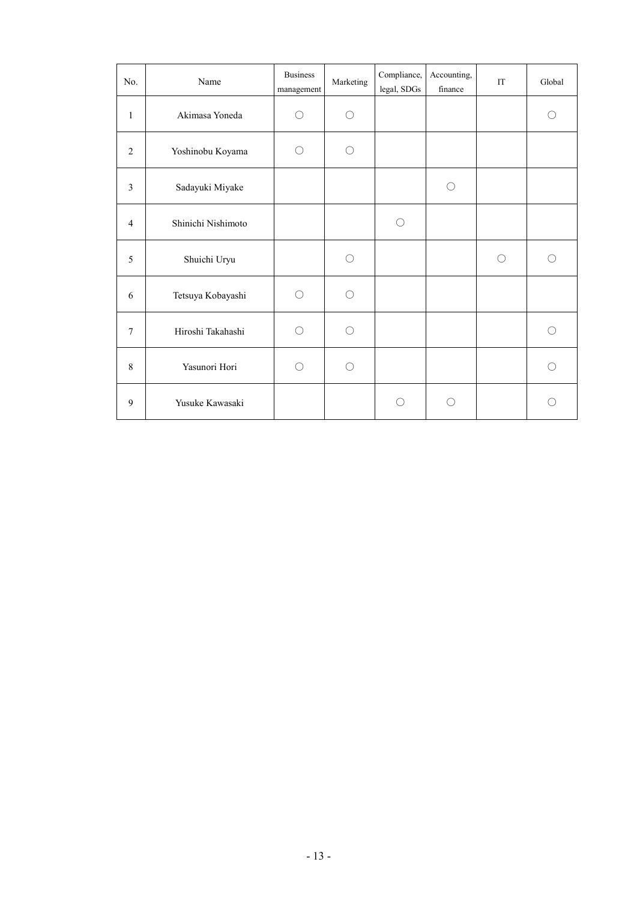| No.            | Name               | <b>Business</b><br>management | Marketing  | Compliance,<br>legal, SDGs | Accounting,<br>finance | IT | Global |
|----------------|--------------------|-------------------------------|------------|----------------------------|------------------------|----|--------|
| $\mathbf{1}$   | Akimasa Yoneda     | $\bigcirc$                    | ∩          |                            |                        |    | ∩      |
| 2              | Yoshinobu Koyama   | ∩                             | ∩          |                            |                        |    |        |
| 3              | Sadayuki Miyake    |                               |            |                            | O                      |    |        |
| $\overline{4}$ | Shinichi Nishimoto |                               |            | O                          |                        |    |        |
| 5              | Shuichi Uryu       |                               | ∩          |                            |                        | ∩  | ∩      |
| 6              | Tetsuya Kobayashi  | ()                            | ()         |                            |                        |    |        |
| $\tau$         | Hiroshi Takahashi  | ( )                           | ∩          |                            |                        |    | O      |
| $\,8\,$        | Yasunori Hori      | ∩                             | $\bigcirc$ |                            |                        |    | ∩      |
| $\mathbf{9}$   | Yusuke Kawasaki    |                               |            | O                          | ∩                      |    | ∩      |